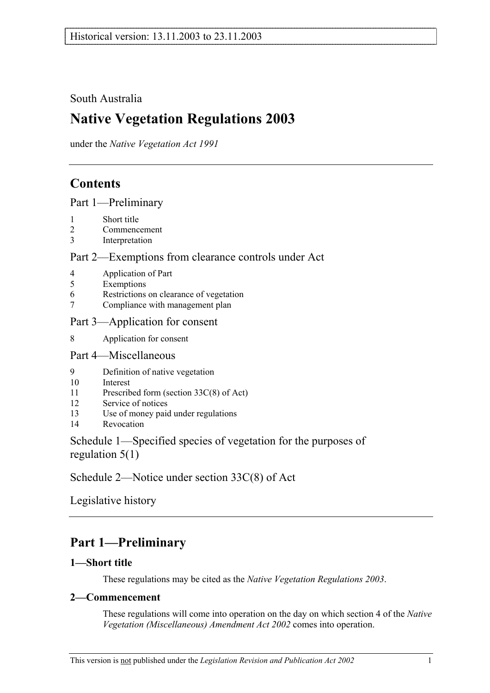# South Australia

# **Native Vegetation Regulations 2003**

under the *Native Vegetation Act 1991*

# **Contents**

Part 1—Preliminary

- 1 Short title
- 2 Commencement
- 3 Interpretation

## Part 2—Exemptions from clearance controls under Act

- 4 Application of Part
- 5 Exemptions
- 6 Restrictions on clearance of vegetation
- 7 Compliance with management plan

### Part 3—Application for consent

8 Application for consent

### Part 4—Miscellaneous

- 9 Definition of native vegetation
- 10 Interest
- 11 Prescribed form (section 33C(8) of Act)
- 12 Service of notices
- 13 Use of money paid under regulations
- 14 Revocation

## Schedule 1—Specified species of vegetation for the purposes of regulation 5(1)

Schedule 2—Notice under section 33C(8) of Act

Legislative history

# **Part 1—Preliminary**

## **1—Short title**

These regulations may be cited as the *Native Vegetation Regulations 2003*.

### **2—Commencement**

These regulations will come into operation on the day on which section 4 of the *Native Vegetation (Miscellaneous) Amendment Act 2002* comes into operation.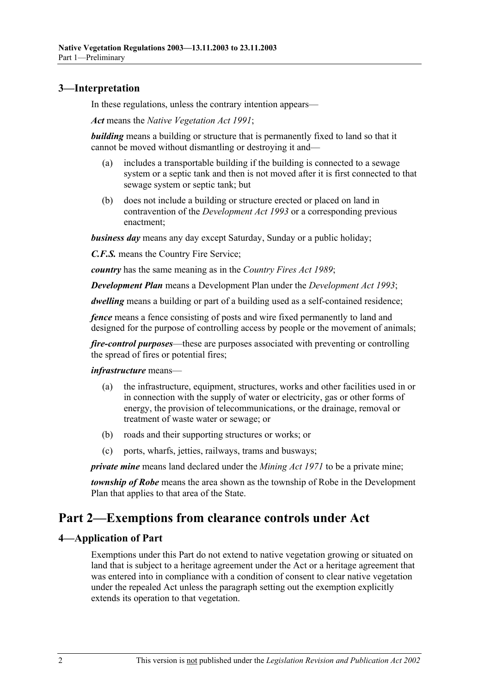### **3—Interpretation**

In these regulations, unless the contrary intention appears—

*Act* means the *Native Vegetation Act 1991*;

*building* means a building or structure that is permanently fixed to land so that it cannot be moved without dismantling or destroying it and—

- (a) includes a transportable building if the building is connected to a sewage system or a septic tank and then is not moved after it is first connected to that sewage system or septic tank; but
- (b) does not include a building or structure erected or placed on land in contravention of the *Development Act 1993* or a corresponding previous enactment;

*business day* means any day except Saturday, Sunday or a public holiday;

*C.F.S.* means the Country Fire Service;

*country* has the same meaning as in the *Country Fires Act 1989*;

*Development Plan* means a Development Plan under the *Development Act 1993*;

*dwelling* means a building or part of a building used as a self-contained residence;

*fence* means a fence consisting of posts and wire fixed permanently to land and designed for the purpose of controlling access by people or the movement of animals;

*fire-control purposes*—these are purposes associated with preventing or controlling the spread of fires or potential fires;

*infrastructure* means—

- (a) the infrastructure, equipment, structures, works and other facilities used in or in connection with the supply of water or electricity, gas or other forms of energy, the provision of telecommunications, or the drainage, removal or treatment of waste water or sewage; or
- (b) roads and their supporting structures or works; or
- (c) ports, wharfs, jetties, railways, trams and busways;

*private mine* means land declared under the *Mining Act 1971* to be a private mine;

*township of Robe* means the area shown as the township of Robe in the Development Plan that applies to that area of the State.

# **Part 2—Exemptions from clearance controls under Act**

### **4—Application of Part**

Exemptions under this Part do not extend to native vegetation growing or situated on land that is subject to a heritage agreement under the Act or a heritage agreement that was entered into in compliance with a condition of consent to clear native vegetation under the repealed Act unless the paragraph setting out the exemption explicitly extends its operation to that vegetation.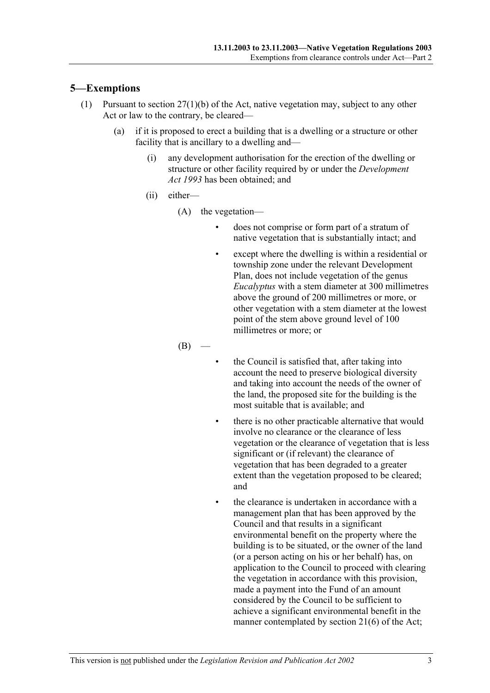### **5—Exemptions**

- (1) Pursuant to section 27(1)(b) of the Act, native vegetation may, subject to any other Act or law to the contrary, be cleared—
	- (a) if it is proposed to erect a building that is a dwelling or a structure or other facility that is ancillary to a dwelling and—
		- (i) any development authorisation for the erection of the dwelling or structure or other facility required by or under the *Development Act 1993* has been obtained; and
		- (ii) either—
			- (A) the vegetation
				- does not comprise or form part of a stratum of native vegetation that is substantially intact; and
				- except where the dwelling is within a residential or township zone under the relevant Development Plan, does not include vegetation of the genus *Eucalyptus* with a stem diameter at 300 millimetres above the ground of 200 millimetres or more, or other vegetation with a stem diameter at the lowest point of the stem above ground level of 100 millimetres or more; or

 $(B)$ 

- the Council is satisfied that, after taking into account the need to preserve biological diversity and taking into account the needs of the owner of the land, the proposed site for the building is the most suitable that is available; and
- there is no other practicable alternative that would involve no clearance or the clearance of less vegetation or the clearance of vegetation that is less significant or (if relevant) the clearance of vegetation that has been degraded to a greater extent than the vegetation proposed to be cleared; and
- the clearance is undertaken in accordance with a management plan that has been approved by the Council and that results in a significant environmental benefit on the property where the building is to be situated, or the owner of the land (or a person acting on his or her behalf) has, on application to the Council to proceed with clearing the vegetation in accordance with this provision, made a payment into the Fund of an amount considered by the Council to be sufficient to achieve a significant environmental benefit in the manner contemplated by section 21(6) of the Act;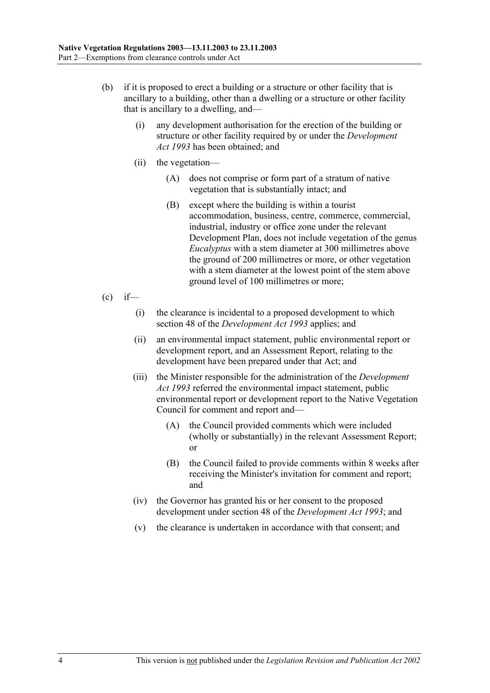- (b) if it is proposed to erect a building or a structure or other facility that is ancillary to a building, other than a dwelling or a structure or other facility that is ancillary to a dwelling, and—
	- (i) any development authorisation for the erection of the building or structure or other facility required by or under the *Development Act 1993* has been obtained; and
	- (ii) the vegetation—
		- (A) does not comprise or form part of a stratum of native vegetation that is substantially intact; and
		- (B) except where the building is within a tourist accommodation, business, centre, commerce, commercial, industrial, industry or office zone under the relevant Development Plan, does not include vegetation of the genus *Eucalyptus* with a stem diameter at 300 millimetres above the ground of 200 millimetres or more, or other vegetation with a stem diameter at the lowest point of the stem above ground level of 100 millimetres or more;
- $\int_{c}^{c}$  if
	- (i) the clearance is incidental to a proposed development to which section 48 of the *Development Act 1993* applies; and
	- (ii) an environmental impact statement, public environmental report or development report, and an Assessment Report, relating to the development have been prepared under that Act; and
	- (iii) the Minister responsible for the administration of the *Development Act 1993* referred the environmental impact statement, public environmental report or development report to the Native Vegetation Council for comment and report and—
		- (A) the Council provided comments which were included (wholly or substantially) in the relevant Assessment Report; or
		- (B) the Council failed to provide comments within 8 weeks after receiving the Minister's invitation for comment and report; and
	- (iv) the Governor has granted his or her consent to the proposed development under section 48 of the *Development Act 1993*; and
	- (v) the clearance is undertaken in accordance with that consent; and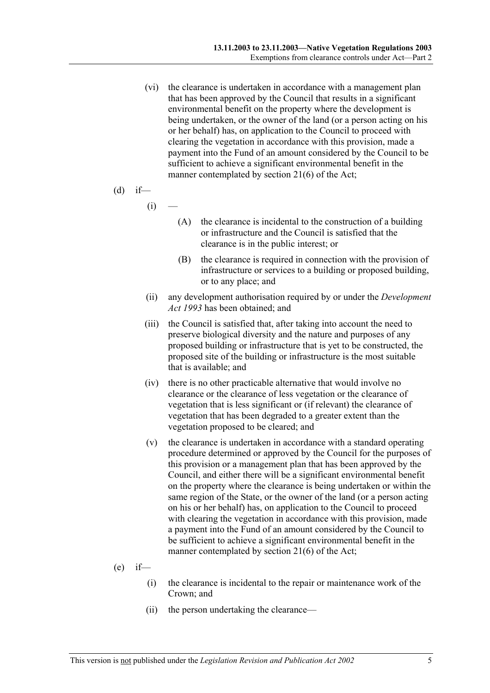(vi) the clearance is undertaken in accordance with a management plan that has been approved by the Council that results in a significant environmental benefit on the property where the development is being undertaken, or the owner of the land (or a person acting on his or her behalf) has, on application to the Council to proceed with clearing the vegetation in accordance with this provision, made a payment into the Fund of an amount considered by the Council to be sufficient to achieve a significant environmental benefit in the manner contemplated by section 21(6) of the Act;

(d) if—

 $(i)$ 

- (A) the clearance is incidental to the construction of a building or infrastructure and the Council is satisfied that the clearance is in the public interest; or
- (B) the clearance is required in connection with the provision of infrastructure or services to a building or proposed building, or to any place; and
- (ii) any development authorisation required by or under the *Development Act 1993* has been obtained; and
- (iii) the Council is satisfied that, after taking into account the need to preserve biological diversity and the nature and purposes of any proposed building or infrastructure that is yet to be constructed, the proposed site of the building or infrastructure is the most suitable that is available; and
- (iv) there is no other practicable alternative that would involve no clearance or the clearance of less vegetation or the clearance of vegetation that is less significant or (if relevant) the clearance of vegetation that has been degraded to a greater extent than the vegetation proposed to be cleared; and
- (v) the clearance is undertaken in accordance with a standard operating procedure determined or approved by the Council for the purposes of this provision or a management plan that has been approved by the Council, and either there will be a significant environmental benefit on the property where the clearance is being undertaken or within the same region of the State, or the owner of the land (or a person acting on his or her behalf) has, on application to the Council to proceed with clearing the vegetation in accordance with this provision, made a payment into the Fund of an amount considered by the Council to be sufficient to achieve a significant environmental benefit in the manner contemplated by section 21(6) of the Act;
- $(e)$  if—
	- (i) the clearance is incidental to the repair or maintenance work of the Crown; and
	- (ii) the person undertaking the clearance—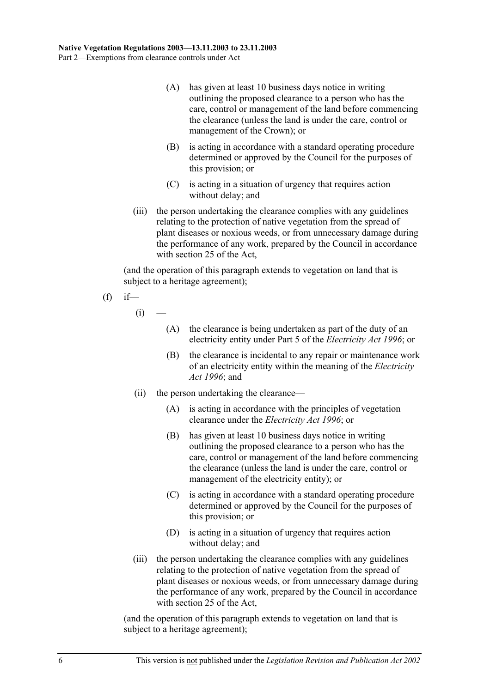- (A) has given at least 10 business days notice in writing outlining the proposed clearance to a person who has the care, control or management of the land before commencing the clearance (unless the land is under the care, control or management of the Crown); or
- (B) is acting in accordance with a standard operating procedure determined or approved by the Council for the purposes of this provision; or
- (C) is acting in a situation of urgency that requires action without delay; and
- (iii) the person undertaking the clearance complies with any guidelines relating to the protection of native vegetation from the spread of plant diseases or noxious weeds, or from unnecessary damage during the performance of any work, prepared by the Council in accordance with section 25 of the Act,

(and the operation of this paragraph extends to vegetation on land that is subject to a heritage agreement);

$$
\int
$$
 (f) if—

 $(i)$ 

- (A) the clearance is being undertaken as part of the duty of an electricity entity under Part 5 of the *Electricity Act 1996*; or
- (B) the clearance is incidental to any repair or maintenance work of an electricity entity within the meaning of the *Electricity Act 1996*; and
- (ii) the person undertaking the clearance—
	- (A) is acting in accordance with the principles of vegetation clearance under the *Electricity Act 1996*; or
	- (B) has given at least 10 business days notice in writing outlining the proposed clearance to a person who has the care, control or management of the land before commencing the clearance (unless the land is under the care, control or management of the electricity entity); or
	- (C) is acting in accordance with a standard operating procedure determined or approved by the Council for the purposes of this provision; or
	- (D) is acting in a situation of urgency that requires action without delay; and
- (iii) the person undertaking the clearance complies with any guidelines relating to the protection of native vegetation from the spread of plant diseases or noxious weeds, or from unnecessary damage during the performance of any work, prepared by the Council in accordance with section 25 of the Act,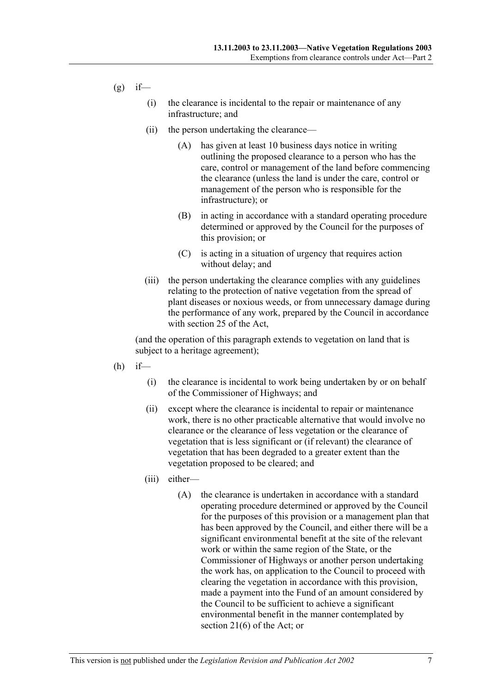$(g)$  if—

- (i) the clearance is incidental to the repair or maintenance of any infrastructure; and
- (ii) the person undertaking the clearance—
	- (A) has given at least 10 business days notice in writing outlining the proposed clearance to a person who has the care, control or management of the land before commencing the clearance (unless the land is under the care, control or management of the person who is responsible for the infrastructure); or
	- (B) in acting in accordance with a standard operating procedure determined or approved by the Council for the purposes of this provision; or
	- (C) is acting in a situation of urgency that requires action without delay; and
- (iii) the person undertaking the clearance complies with any guidelines relating to the protection of native vegetation from the spread of plant diseases or noxious weeds, or from unnecessary damage during the performance of any work, prepared by the Council in accordance with section 25 of the Act,

- $(h)$  if—
	- (i) the clearance is incidental to work being undertaken by or on behalf of the Commissioner of Highways; and
	- (ii) except where the clearance is incidental to repair or maintenance work, there is no other practicable alternative that would involve no clearance or the clearance of less vegetation or the clearance of vegetation that is less significant or (if relevant) the clearance of vegetation that has been degraded to a greater extent than the vegetation proposed to be cleared; and
	- (iii) either—
		- (A) the clearance is undertaken in accordance with a standard operating procedure determined or approved by the Council for the purposes of this provision or a management plan that has been approved by the Council, and either there will be a significant environmental benefit at the site of the relevant work or within the same region of the State, or the Commissioner of Highways or another person undertaking the work has, on application to the Council to proceed with clearing the vegetation in accordance with this provision, made a payment into the Fund of an amount considered by the Council to be sufficient to achieve a significant environmental benefit in the manner contemplated by section 21(6) of the Act; or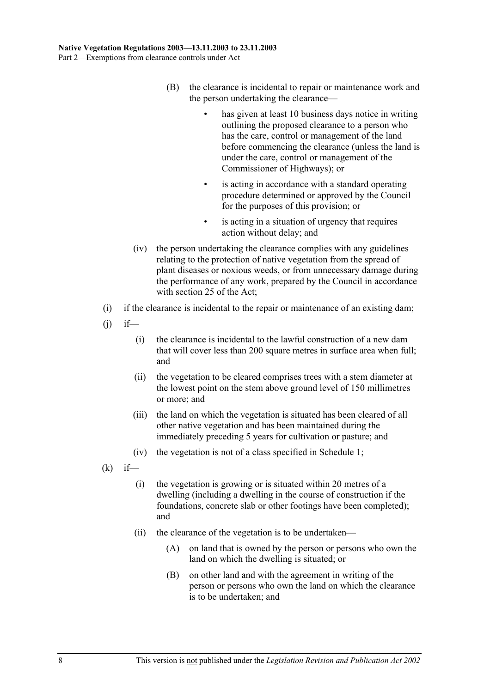- (B) the clearance is incidental to repair or maintenance work and the person undertaking the clearance
	- has given at least 10 business days notice in writing outlining the proposed clearance to a person who has the care, control or management of the land before commencing the clearance (unless the land is under the care, control or management of the Commissioner of Highways); or
	- is acting in accordance with a standard operating procedure determined or approved by the Council for the purposes of this provision; or
	- is acting in a situation of urgency that requires action without delay; and
- (iv) the person undertaking the clearance complies with any guidelines relating to the protection of native vegetation from the spread of plant diseases or noxious weeds, or from unnecessary damage during the performance of any work, prepared by the Council in accordance with section 25 of the Act;
- (i) if the clearance is incidental to the repair or maintenance of an existing dam;
- $(j)$  if—
	- (i) the clearance is incidental to the lawful construction of a new dam that will cover less than 200 square metres in surface area when full; and
	- (ii) the vegetation to be cleared comprises trees with a stem diameter at the lowest point on the stem above ground level of 150 millimetres or more; and
	- (iii) the land on which the vegetation is situated has been cleared of all other native vegetation and has been maintained during the immediately preceding 5 years for cultivation or pasture; and
	- (iv) the vegetation is not of a class specified in Schedule 1;
- $(k)$  if—
	- (i) the vegetation is growing or is situated within 20 metres of a dwelling (including a dwelling in the course of construction if the foundations, concrete slab or other footings have been completed); and
	- (ii) the clearance of the vegetation is to be undertaken—
		- (A) on land that is owned by the person or persons who own the land on which the dwelling is situated; or
		- (B) on other land and with the agreement in writing of the person or persons who own the land on which the clearance is to be undertaken; and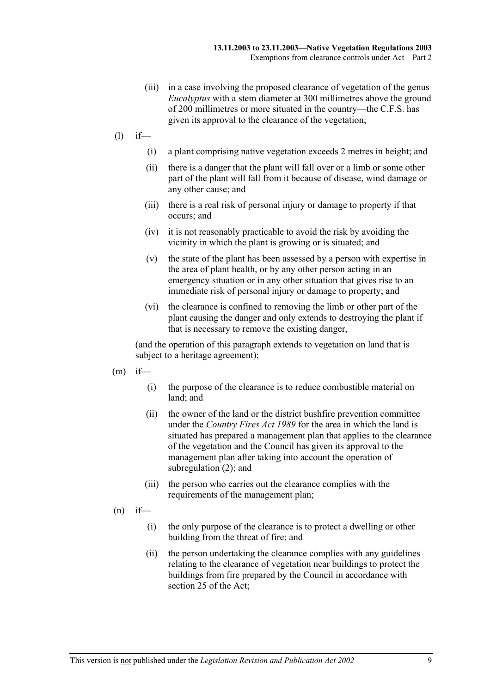- (iii) in a case involving the proposed clearance of vegetation of the genus *Eucalyptus* with a stem diameter at 300 millimetres above the ground of 200 millimetres or more situated in the country—the C.F.S. has given its approval to the clearance of the vegetation;
- (l) if—
	- (i) a plant comprising native vegetation exceeds 2 metres in height; and
	- (ii) there is a danger that the plant will fall over or a limb or some other part of the plant will fall from it because of disease, wind damage or any other cause; and
	- (iii) there is a real risk of personal injury or damage to property if that occurs; and
	- (iv) it is not reasonably practicable to avoid the risk by avoiding the vicinity in which the plant is growing or is situated; and
	- (v) the state of the plant has been assessed by a person with expertise in the area of plant health, or by any other person acting in an emergency situation or in any other situation that gives rise to an immediate risk of personal injury or damage to property; and
	- (vi) the clearance is confined to removing the limb or other part of the plant causing the danger and only extends to destroying the plant if that is necessary to remove the existing danger,

- $(m)$  if—
	- (i) the purpose of the clearance is to reduce combustible material on land; and
	- (ii) the owner of the land or the district bushfire prevention committee under the *Country Fires Act 1989* for the area in which the land is situated has prepared a management plan that applies to the clearance of the vegetation and the Council has given its approval to the management plan after taking into account the operation of subregulation (2); and
	- (iii) the person who carries out the clearance complies with the requirements of the management plan;
- $(n)$  if—
	- (i) the only purpose of the clearance is to protect a dwelling or other building from the threat of fire; and
	- (ii) the person undertaking the clearance complies with any guidelines relating to the clearance of vegetation near buildings to protect the buildings from fire prepared by the Council in accordance with section 25 of the Act;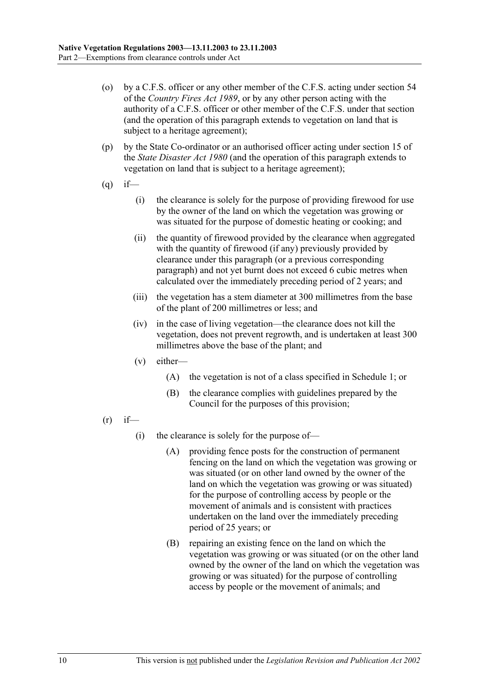- (o) by a C.F.S. officer or any other member of the C.F.S. acting under section 54 of the *Country Fires Act 1989*, or by any other person acting with the authority of a C.F.S. officer or other member of the C.F.S. under that section (and the operation of this paragraph extends to vegetation on land that is subject to a heritage agreement);
- (p) by the State Co-ordinator or an authorised officer acting under section 15 of the *State Disaster Act 1980* (and the operation of this paragraph extends to vegetation on land that is subject to a heritage agreement);
- $(q)$  if—
	- (i) the clearance is solely for the purpose of providing firewood for use by the owner of the land on which the vegetation was growing or was situated for the purpose of domestic heating or cooking; and
	- (ii) the quantity of firewood provided by the clearance when aggregated with the quantity of firewood (if any) previously provided by clearance under this paragraph (or a previous corresponding paragraph) and not yet burnt does not exceed 6 cubic metres when calculated over the immediately preceding period of 2 years; and
	- (iii) the vegetation has a stem diameter at 300 millimetres from the base of the plant of 200 millimetres or less; and
	- (iv) in the case of living vegetation—the clearance does not kill the vegetation, does not prevent regrowth, and is undertaken at least 300 millimetres above the base of the plant; and
	- (v) either—
		- (A) the vegetation is not of a class specified in Schedule 1; or
		- (B) the clearance complies with guidelines prepared by the Council for the purposes of this provision;
- $(r)$  if—
	- (i) the clearance is solely for the purpose of—
		- (A) providing fence posts for the construction of permanent fencing on the land on which the vegetation was growing or was situated (or on other land owned by the owner of the land on which the vegetation was growing or was situated) for the purpose of controlling access by people or the movement of animals and is consistent with practices undertaken on the land over the immediately preceding period of 25 years; or
		- (B) repairing an existing fence on the land on which the vegetation was growing or was situated (or on the other land owned by the owner of the land on which the vegetation was growing or was situated) for the purpose of controlling access by people or the movement of animals; and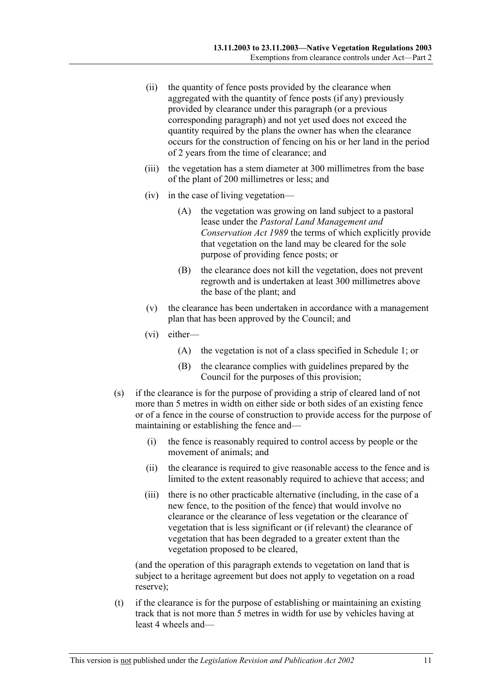- (ii) the quantity of fence posts provided by the clearance when aggregated with the quantity of fence posts (if any) previously provided by clearance under this paragraph (or a previous corresponding paragraph) and not yet used does not exceed the quantity required by the plans the owner has when the clearance occurs for the construction of fencing on his or her land in the period of 2 years from the time of clearance; and
- (iii) the vegetation has a stem diameter at 300 millimetres from the base of the plant of 200 millimetres or less; and
- (iv) in the case of living vegetation—
	- (A) the vegetation was growing on land subject to a pastoral lease under the *Pastoral Land Management and Conservation Act 1989* the terms of which explicitly provide that vegetation on the land may be cleared for the sole purpose of providing fence posts; or
	- (B) the clearance does not kill the vegetation, does not prevent regrowth and is undertaken at least 300 millimetres above the base of the plant; and
- (v) the clearance has been undertaken in accordance with a management plan that has been approved by the Council; and
- (vi) either—
	- (A) the vegetation is not of a class specified in Schedule 1; or
	- (B) the clearance complies with guidelines prepared by the Council for the purposes of this provision;
- (s) if the clearance is for the purpose of providing a strip of cleared land of not more than 5 metres in width on either side or both sides of an existing fence or of a fence in the course of construction to provide access for the purpose of maintaining or establishing the fence and—
	- (i) the fence is reasonably required to control access by people or the movement of animals; and
	- (ii) the clearance is required to give reasonable access to the fence and is limited to the extent reasonably required to achieve that access; and
	- (iii) there is no other practicable alternative (including, in the case of a new fence, to the position of the fence) that would involve no clearance or the clearance of less vegetation or the clearance of vegetation that is less significant or (if relevant) the clearance of vegetation that has been degraded to a greater extent than the vegetation proposed to be cleared,

(and the operation of this paragraph extends to vegetation on land that is subject to a heritage agreement but does not apply to vegetation on a road reserve);

 (t) if the clearance is for the purpose of establishing or maintaining an existing track that is not more than 5 metres in width for use by vehicles having at least 4 wheels and—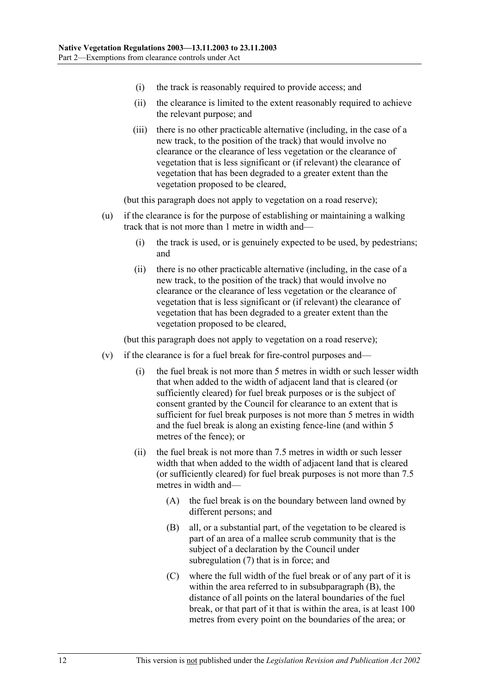- (i) the track is reasonably required to provide access; and
- (ii) the clearance is limited to the extent reasonably required to achieve the relevant purpose; and
- (iii) there is no other practicable alternative (including, in the case of a new track, to the position of the track) that would involve no clearance or the clearance of less vegetation or the clearance of vegetation that is less significant or (if relevant) the clearance of vegetation that has been degraded to a greater extent than the vegetation proposed to be cleared,

(but this paragraph does not apply to vegetation on a road reserve);

- (u) if the clearance is for the purpose of establishing or maintaining a walking track that is not more than 1 metre in width and—
	- (i) the track is used, or is genuinely expected to be used, by pedestrians; and
	- (ii) there is no other practicable alternative (including, in the case of a new track, to the position of the track) that would involve no clearance or the clearance of less vegetation or the clearance of vegetation that is less significant or (if relevant) the clearance of vegetation that has been degraded to a greater extent than the vegetation proposed to be cleared,

(but this paragraph does not apply to vegetation on a road reserve);

- (v) if the clearance is for a fuel break for fire-control purposes and—
	- (i) the fuel break is not more than 5 metres in width or such lesser width that when added to the width of adjacent land that is cleared (or sufficiently cleared) for fuel break purposes or is the subject of consent granted by the Council for clearance to an extent that is sufficient for fuel break purposes is not more than 5 metres in width and the fuel break is along an existing fence-line (and within 5 metres of the fence); or
	- (ii) the fuel break is not more than 7.5 metres in width or such lesser width that when added to the width of adjacent land that is cleared (or sufficiently cleared) for fuel break purposes is not more than 7.5 metres in width and—
		- (A) the fuel break is on the boundary between land owned by different persons; and
		- (B) all, or a substantial part, of the vegetation to be cleared is part of an area of a mallee scrub community that is the subject of a declaration by the Council under subregulation (7) that is in force; and
		- (C) where the full width of the fuel break or of any part of it is within the area referred to in subsubparagraph (B), the distance of all points on the lateral boundaries of the fuel break, or that part of it that is within the area, is at least 100 metres from every point on the boundaries of the area; or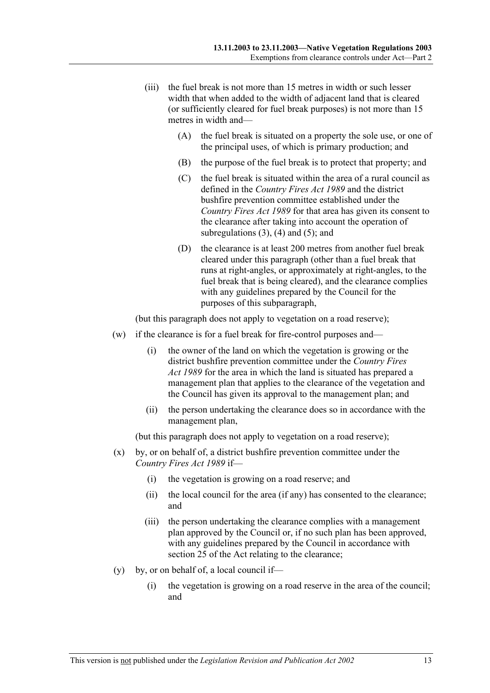- (iii) the fuel break is not more than 15 metres in width or such lesser width that when added to the width of adjacent land that is cleared (or sufficiently cleared for fuel break purposes) is not more than 15 metres in width and—
	- (A) the fuel break is situated on a property the sole use, or one of the principal uses, of which is primary production; and
	- (B) the purpose of the fuel break is to protect that property; and
	- (C) the fuel break is situated within the area of a rural council as defined in the *Country Fires Act 1989* and the district bushfire prevention committee established under the *Country Fires Act 1989* for that area has given its consent to the clearance after taking into account the operation of subregulations  $(3)$ ,  $(4)$  and  $(5)$ ; and
	- (D) the clearance is at least 200 metres from another fuel break cleared under this paragraph (other than a fuel break that runs at right-angles, or approximately at right-angles, to the fuel break that is being cleared), and the clearance complies with any guidelines prepared by the Council for the purposes of this subparagraph,

(but this paragraph does not apply to vegetation on a road reserve);

- (w) if the clearance is for a fuel break for fire-control purposes and—
	- (i) the owner of the land on which the vegetation is growing or the district bushfire prevention committee under the *Country Fires Act 1989* for the area in which the land is situated has prepared a management plan that applies to the clearance of the vegetation and the Council has given its approval to the management plan; and
	- (ii) the person undertaking the clearance does so in accordance with the management plan,

(but this paragraph does not apply to vegetation on a road reserve);

- (x) by, or on behalf of, a district bushfire prevention committee under the *Country Fires Act 1989* if—
	- (i) the vegetation is growing on a road reserve; and
	- (ii) the local council for the area (if any) has consented to the clearance; and
	- (iii) the person undertaking the clearance complies with a management plan approved by the Council or, if no such plan has been approved, with any guidelines prepared by the Council in accordance with section 25 of the Act relating to the clearance;
- (y) by, or on behalf of, a local council if—
	- (i) the vegetation is growing on a road reserve in the area of the council; and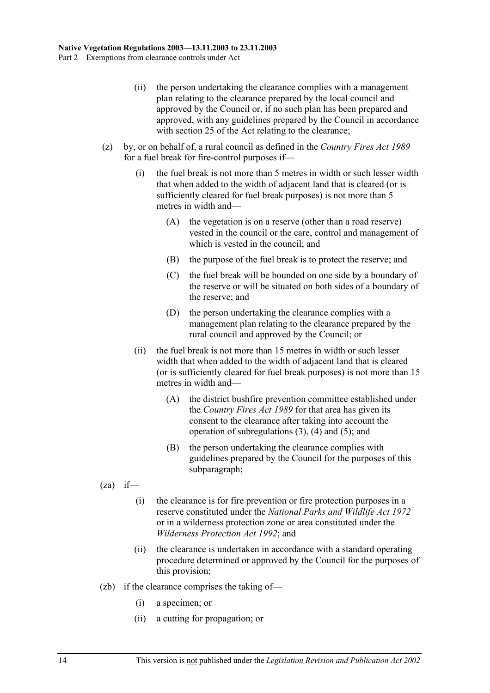- (ii) the person undertaking the clearance complies with a management plan relating to the clearance prepared by the local council and approved by the Council or, if no such plan has been prepared and approved, with any guidelines prepared by the Council in accordance with section 25 of the Act relating to the clearance;
- (z) by, or on behalf of, a rural council as defined in the *Country Fires Act 1989* for a fuel break for fire-control purposes if—
	- (i) the fuel break is not more than 5 metres in width or such lesser width that when added to the width of adjacent land that is cleared (or is sufficiently cleared for fuel break purposes) is not more than 5 metres in width and—
		- (A) the vegetation is on a reserve (other than a road reserve) vested in the council or the care, control and management of which is vested in the council; and
		- (B) the purpose of the fuel break is to protect the reserve; and
		- (C) the fuel break will be bounded on one side by a boundary of the reserve or will be situated on both sides of a boundary of the reserve; and
		- (D) the person undertaking the clearance complies with a management plan relating to the clearance prepared by the rural council and approved by the Council; or
	- (ii) the fuel break is not more than 15 metres in width or such lesser width that when added to the width of adjacent land that is cleared (or is sufficiently cleared for fuel break purposes) is not more than 15 metres in width and—
		- (A) the district bushfire prevention committee established under the *Country Fires Act 1989* for that area has given its consent to the clearance after taking into account the operation of subregulations (3), (4) and (5); and
		- (B) the person undertaking the clearance complies with guidelines prepared by the Council for the purposes of this subparagraph;
- $(za)$  if—
	- (i) the clearance is for fire prevention or fire protection purposes in a reserve constituted under the *National Parks and Wildlife Act 1972* or in a wilderness protection zone or area constituted under the *Wilderness Protection Act 1992*; and
	- (ii) the clearance is undertaken in accordance with a standard operating procedure determined or approved by the Council for the purposes of this provision;
- (zb) if the clearance comprises the taking of—
	- (i) a specimen; or
	- (ii) a cutting for propagation; or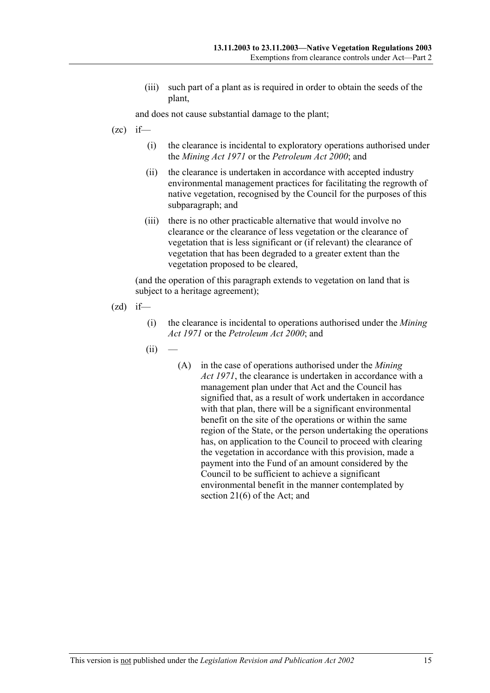(iii) such part of a plant as is required in order to obtain the seeds of the plant,

and does not cause substantial damage to the plant;

- $(zc)$  if—
	- (i) the clearance is incidental to exploratory operations authorised under the *Mining Act 1971* or the *Petroleum Act 2000*; and
	- (ii) the clearance is undertaken in accordance with accepted industry environmental management practices for facilitating the regrowth of native vegetation, recognised by the Council for the purposes of this subparagraph; and
	- (iii) there is no other practicable alternative that would involve no clearance or the clearance of less vegetation or the clearance of vegetation that is less significant or (if relevant) the clearance of vegetation that has been degraded to a greater extent than the vegetation proposed to be cleared,

- $(zd)$  if—
	- (i) the clearance is incidental to operations authorised under the *Mining Act 1971* or the *Petroleum Act 2000*; and
	- $(ii)$
- (A) in the case of operations authorised under the *Mining Act 1971*, the clearance is undertaken in accordance with a management plan under that Act and the Council has signified that, as a result of work undertaken in accordance with that plan, there will be a significant environmental benefit on the site of the operations or within the same region of the State, or the person undertaking the operations has, on application to the Council to proceed with clearing the vegetation in accordance with this provision, made a payment into the Fund of an amount considered by the Council to be sufficient to achieve a significant environmental benefit in the manner contemplated by section 21(6) of the Act; and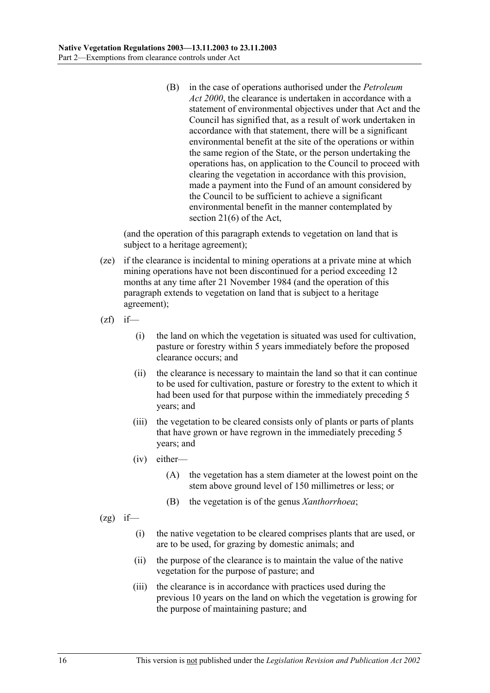(B) in the case of operations authorised under the *Petroleum Act 2000*, the clearance is undertaken in accordance with a statement of environmental objectives under that Act and the Council has signified that, as a result of work undertaken in accordance with that statement, there will be a significant environmental benefit at the site of the operations or within the same region of the State, or the person undertaking the operations has, on application to the Council to proceed with clearing the vegetation in accordance with this provision, made a payment into the Fund of an amount considered by the Council to be sufficient to achieve a significant environmental benefit in the manner contemplated by section 21(6) of the Act,

- (ze) if the clearance is incidental to mining operations at a private mine at which mining operations have not been discontinued for a period exceeding 12 months at any time after 21 November 1984 (and the operation of this paragraph extends to vegetation on land that is subject to a heritage agreement);
- $(zf)$  if—
	- (i) the land on which the vegetation is situated was used for cultivation, pasture or forestry within 5 years immediately before the proposed clearance occurs; and
	- (ii) the clearance is necessary to maintain the land so that it can continue to be used for cultivation, pasture or forestry to the extent to which it had been used for that purpose within the immediately preceding 5 years; and
	- (iii) the vegetation to be cleared consists only of plants or parts of plants that have grown or have regrown in the immediately preceding 5 years; and
	- (iv) either—
		- (A) the vegetation has a stem diameter at the lowest point on the stem above ground level of 150 millimetres or less; or
		- (B) the vegetation is of the genus *Xanthorrhoea*;
- $(2g)$  if—
	- (i) the native vegetation to be cleared comprises plants that are used, or are to be used, for grazing by domestic animals; and
	- (ii) the purpose of the clearance is to maintain the value of the native vegetation for the purpose of pasture; and
	- (iii) the clearance is in accordance with practices used during the previous 10 years on the land on which the vegetation is growing for the purpose of maintaining pasture; and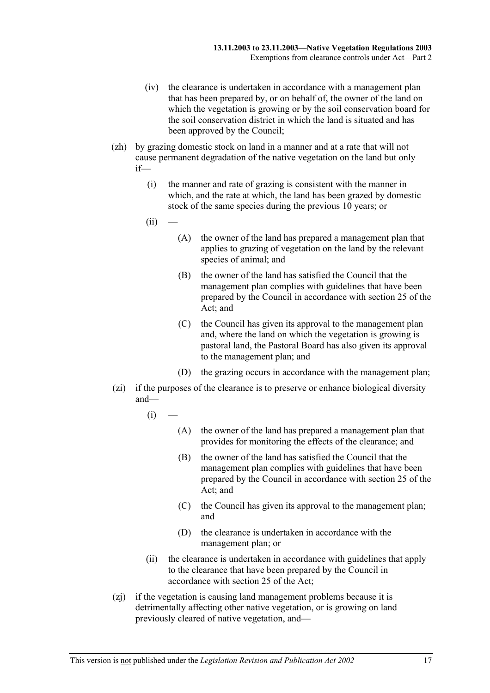- (iv) the clearance is undertaken in accordance with a management plan that has been prepared by, or on behalf of, the owner of the land on which the vegetation is growing or by the soil conservation board for the soil conservation district in which the land is situated and has been approved by the Council;
- (zh) by grazing domestic stock on land in a manner and at a rate that will not cause permanent degradation of the native vegetation on the land but only if—
	- (i) the manner and rate of grazing is consistent with the manner in which, and the rate at which, the land has been grazed by domestic stock of the same species during the previous 10 years; or
	- $(ii)$
- (A) the owner of the land has prepared a management plan that applies to grazing of vegetation on the land by the relevant species of animal; and
- (B) the owner of the land has satisfied the Council that the management plan complies with guidelines that have been prepared by the Council in accordance with section 25 of the Act; and
- (C) the Council has given its approval to the management plan and, where the land on which the vegetation is growing is pastoral land, the Pastoral Board has also given its approval to the management plan; and
- (D) the grazing occurs in accordance with the management plan;
- (zi) if the purposes of the clearance is to preserve or enhance biological diversity and—
	- $(i)$
- (A) the owner of the land has prepared a management plan that provides for monitoring the effects of the clearance; and
- (B) the owner of the land has satisfied the Council that the management plan complies with guidelines that have been prepared by the Council in accordance with section 25 of the Act; and
- (C) the Council has given its approval to the management plan; and
- (D) the clearance is undertaken in accordance with the management plan; or
- (ii) the clearance is undertaken in accordance with guidelines that apply to the clearance that have been prepared by the Council in accordance with section 25 of the Act;
- (zj) if the vegetation is causing land management problems because it is detrimentally affecting other native vegetation, or is growing on land previously cleared of native vegetation, and—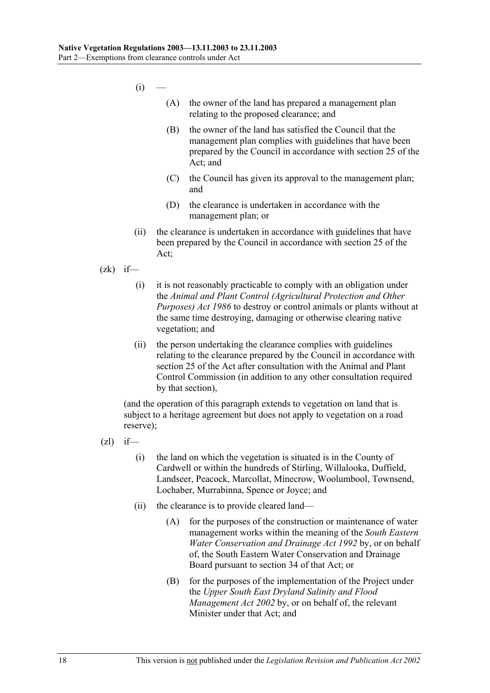- $(i)$ 
	- (A) the owner of the land has prepared a management plan relating to the proposed clearance; and
	- (B) the owner of the land has satisfied the Council that the management plan complies with guidelines that have been prepared by the Council in accordance with section 25 of the Act; and
	- (C) the Council has given its approval to the management plan; and
	- (D) the clearance is undertaken in accordance with the management plan; or
- (ii) the clearance is undertaken in accordance with guidelines that have been prepared by the Council in accordance with section 25 of the Act;
- $(zk)$  if—
	- (i) it is not reasonably practicable to comply with an obligation under the *Animal and Plant Control (Agricultural Protection and Other Purposes) Act 1986* to destroy or control animals or plants without at the same time destroying, damaging or otherwise clearing native vegetation; and
	- (ii) the person undertaking the clearance complies with guidelines relating to the clearance prepared by the Council in accordance with section 25 of the Act after consultation with the Animal and Plant Control Commission (in addition to any other consultation required by that section),

(and the operation of this paragraph extends to vegetation on land that is subject to a heritage agreement but does not apply to vegetation on a road reserve);

- $(zl)$  if—
	- (i) the land on which the vegetation is situated is in the County of Cardwell or within the hundreds of Stirling, Willalooka, Duffield, Landseer, Peacock, Marcollat, Minecrow, Woolumbool, Townsend, Lochaber, Murrabinna, Spence or Joyce; and
	- (ii) the clearance is to provide cleared land—
		- (A) for the purposes of the construction or maintenance of water management works within the meaning of the *South Eastern Water Conservation and Drainage Act 1992* by, or on behalf of, the South Eastern Water Conservation and Drainage Board pursuant to section 34 of that Act; or
		- (B) for the purposes of the implementation of the Project under the *Upper South East Dryland Salinity and Flood Management Act 2002* by, or on behalf of, the relevant Minister under that Act; and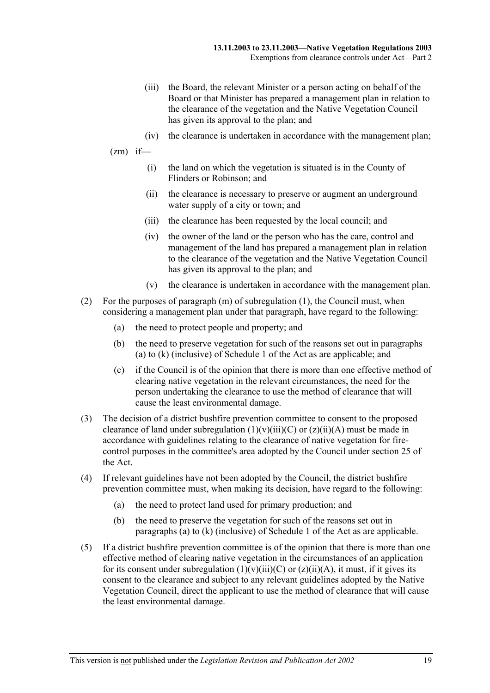- (iii) the Board, the relevant Minister or a person acting on behalf of the Board or that Minister has prepared a management plan in relation to the clearance of the vegetation and the Native Vegetation Council has given its approval to the plan; and
- (iv) the clearance is undertaken in accordance with the management plan;
- $(zm)$  if—
	- (i) the land on which the vegetation is situated is in the County of Flinders or Robinson; and
	- (ii) the clearance is necessary to preserve or augment an underground water supply of a city or town; and
	- (iii) the clearance has been requested by the local council; and
	- (iv) the owner of the land or the person who has the care, control and management of the land has prepared a management plan in relation to the clearance of the vegetation and the Native Vegetation Council has given its approval to the plan; and
	- (v) the clearance is undertaken in accordance with the management plan.
- (2) For the purposes of paragraph (m) of subregulation (1), the Council must, when considering a management plan under that paragraph, have regard to the following:
	- (a) the need to protect people and property; and
	- (b) the need to preserve vegetation for such of the reasons set out in paragraphs (a) to (k) (inclusive) of Schedule 1 of the Act as are applicable; and
	- (c) if the Council is of the opinion that there is more than one effective method of clearing native vegetation in the relevant circumstances, the need for the person undertaking the clearance to use the method of clearance that will cause the least environmental damage.
- (3) The decision of a district bushfire prevention committee to consent to the proposed clearance of land under subregulation  $(1)(v)(iii)(C)$  or  $(z)(ii)(A)$  must be made in accordance with guidelines relating to the clearance of native vegetation for firecontrol purposes in the committee's area adopted by the Council under section 25 of the Act.
- (4) If relevant guidelines have not been adopted by the Council, the district bushfire prevention committee must, when making its decision, have regard to the following:
	- (a) the need to protect land used for primary production; and
	- (b) the need to preserve the vegetation for such of the reasons set out in paragraphs (a) to (k) (inclusive) of Schedule 1 of the Act as are applicable.
- (5) If a district bushfire prevention committee is of the opinion that there is more than one effective method of clearing native vegetation in the circumstances of an application for its consent under subregulation  $(1)(v)(iii)(C)$  or  $(z)(ii)(A)$ , it must, if it gives its consent to the clearance and subject to any relevant guidelines adopted by the Native Vegetation Council, direct the applicant to use the method of clearance that will cause the least environmental damage.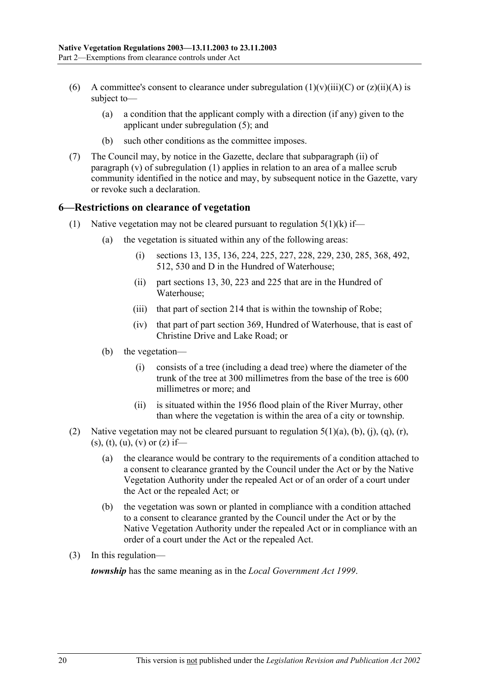- (6) A committee's consent to clearance under subregulation  $(1)(v)(iii)(C)$  or  $(z)(ii)(A)$  is subject to—
	- (a) a condition that the applicant comply with a direction (if any) given to the applicant under subregulation (5); and
	- (b) such other conditions as the committee imposes.
- (7) The Council may, by notice in the Gazette, declare that subparagraph (ii) of paragraph (v) of subregulation (1) applies in relation to an area of a mallee scrub community identified in the notice and may, by subsequent notice in the Gazette, vary or revoke such a declaration.

#### **6—Restrictions on clearance of vegetation**

- (1) Native vegetation may not be cleared pursuant to regulation  $5(1)(k)$  if—
	- (a) the vegetation is situated within any of the following areas:
		- (i) sections 13, 135, 136, 224, 225, 227, 228, 229, 230, 285, 368, 492, 512, 530 and D in the Hundred of Waterhouse;
		- (ii) part sections 13, 30, 223 and 225 that are in the Hundred of Waterhouse;
		- (iii) that part of section 214 that is within the township of Robe;
		- (iv) that part of part section 369, Hundred of Waterhouse, that is east of Christine Drive and Lake Road; or
	- (b) the vegetation—
		- (i) consists of a tree (including a dead tree) where the diameter of the trunk of the tree at 300 millimetres from the base of the tree is 600 millimetres or more; and
		- (ii) is situated within the 1956 flood plain of the River Murray, other than where the vegetation is within the area of a city or township.
- (2) Native vegetation may not be cleared pursuant to regulation  $5(1)(a)$ ,  $(b)$ ,  $(i)$ ,  $(q)$ ,  $(r)$ ,  $(s)$ ,  $(t)$ ,  $(u)$ ,  $(v)$  or  $(z)$  if—
	- (a) the clearance would be contrary to the requirements of a condition attached to a consent to clearance granted by the Council under the Act or by the Native Vegetation Authority under the repealed Act or of an order of a court under the Act or the repealed Act; or
	- (b) the vegetation was sown or planted in compliance with a condition attached to a consent to clearance granted by the Council under the Act or by the Native Vegetation Authority under the repealed Act or in compliance with an order of a court under the Act or the repealed Act.
- (3) In this regulation—

*township* has the same meaning as in the *Local Government Act 1999*.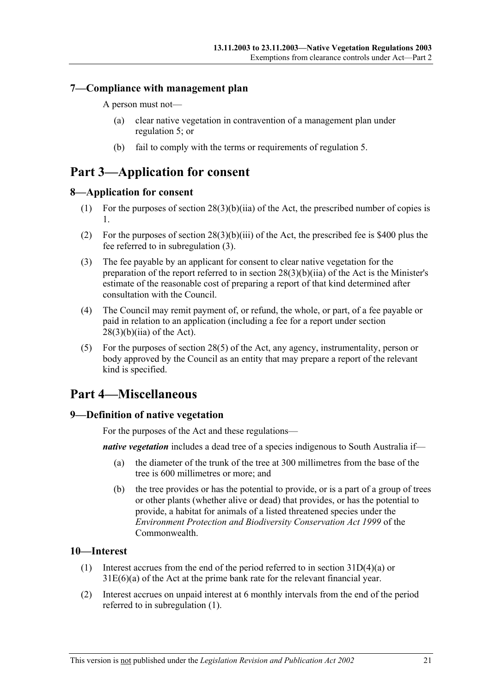### **7—Compliance with management plan**

A person must not—

- (a) clear native vegetation in contravention of a management plan under regulation 5; or
- (b) fail to comply with the terms or requirements of regulation 5.

# **Part 3—Application for consent**

### **8—Application for consent**

- (1) For the purposes of section  $28(3)(b)(iia)$  of the Act, the prescribed number of copies is 1.
- (2) For the purposes of section 28(3)(b)(iii) of the Act, the prescribed fee is \$400 plus the fee referred to in subregulation (3).
- (3) The fee payable by an applicant for consent to clear native vegetation for the preparation of the report referred to in section 28(3)(b)(iia) of the Act is the Minister's estimate of the reasonable cost of preparing a report of that kind determined after consultation with the Council.
- (4) The Council may remit payment of, or refund, the whole, or part, of a fee payable or paid in relation to an application (including a fee for a report under section  $28(3)(b)(ii)$  of the Act).
- (5) For the purposes of section 28(5) of the Act, any agency, instrumentality, person or body approved by the Council as an entity that may prepare a report of the relevant kind is specified.

# **Part 4—Miscellaneous**

### **9—Definition of native vegetation**

For the purposes of the Act and these regulations—

*native vegetation* includes a dead tree of a species indigenous to South Australia if—

- (a) the diameter of the trunk of the tree at 300 millimetres from the base of the tree is 600 millimetres or more; and
- (b) the tree provides or has the potential to provide, or is a part of a group of trees or other plants (whether alive or dead) that provides, or has the potential to provide, a habitat for animals of a listed threatened species under the *Environment Protection and Biodiversity Conservation Act 1999* of the Commonwealth.

### **10—Interest**

- (1) Interest accrues from the end of the period referred to in section  $31D(4)(a)$  or 31E(6)(a) of the Act at the prime bank rate for the relevant financial year.
- (2) Interest accrues on unpaid interest at 6 monthly intervals from the end of the period referred to in subregulation (1).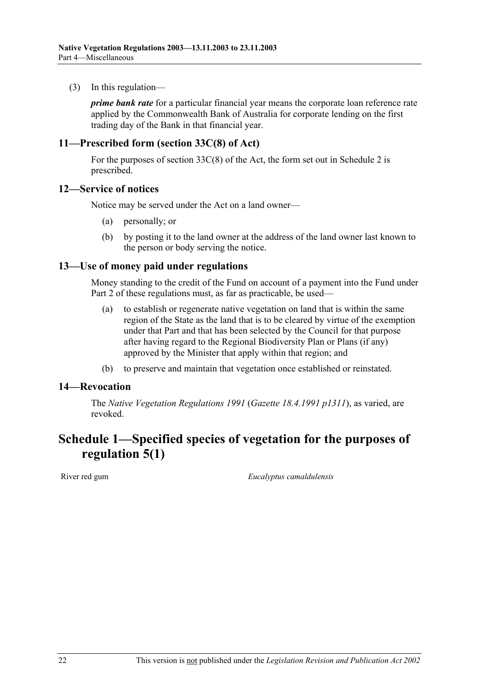(3) In this regulation—

*prime bank rate* for a particular financial year means the corporate loan reference rate applied by the Commonwealth Bank of Australia for corporate lending on the first trading day of the Bank in that financial year.

### **11—Prescribed form (section 33C(8) of Act)**

For the purposes of section 33C(8) of the Act, the form set out in Schedule 2 is prescribed.

#### **12—Service of notices**

Notice may be served under the Act on a land owner—

- (a) personally; or
- (b) by posting it to the land owner at the address of the land owner last known to the person or body serving the notice.

#### **13—Use of money paid under regulations**

Money standing to the credit of the Fund on account of a payment into the Fund under Part 2 of these regulations must, as far as practicable, be used—

- (a) to establish or regenerate native vegetation on land that is within the same region of the State as the land that is to be cleared by virtue of the exemption under that Part and that has been selected by the Council for that purpose after having regard to the Regional Biodiversity Plan or Plans (if any) approved by the Minister that apply within that region; and
- (b) to preserve and maintain that vegetation once established or reinstated.

#### **14—Revocation**

The *Native Vegetation Regulations 1991* (*Gazette 18.4.1991 p1311*), as varied, are revoked.

# **Schedule 1—Specified species of vegetation for the purposes of regulation 5(1)**

River red gum *Eucalyptus camaldulensis*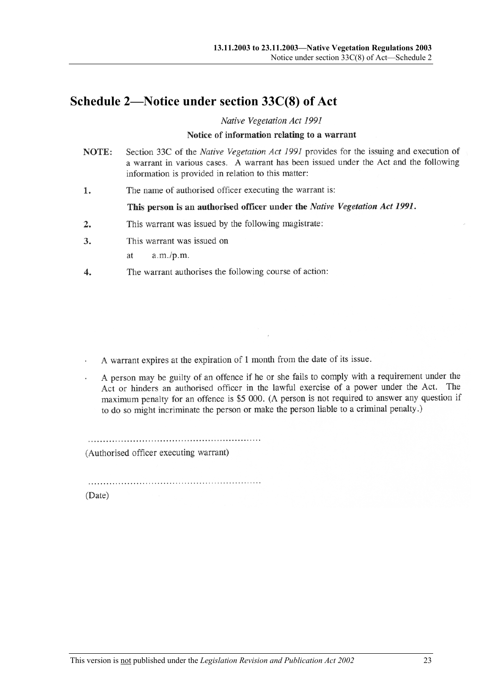# **Schedule 2—Notice under section 33C(8) of Act**

Native Vegetation Act 1991

#### Notice of information relating to a warrant

- Section 33C of the Native Vegetation Act 1991 provides for the issuing and execution of NOTE: a warrant in various cases. A warrant has been issued under the Act and the following information is provided in relation to this matter:
- The name of authorised officer executing the warrant is: 1.

#### This person is an authorised officer under the Native Vegetation Act 1991.

- This warrant was issued by the following magistrate:  $2.$
- $\overline{3}$ . This warrant was issued on

 $a.m./p.m.$ <sub>at</sub>

The warrant authorises the following course of action: 4.

A warrant expires at the expiration of 1 month from the date of its issue.

A person may be guilty of an offence if he or she fails to comply with a requirement under the Act or hinders an authorised officer in the lawful exercise of a power under the Act. The maximum penalty for an offence is \$5 000. (A person is not required to answer any question if to do so might incriminate the person or make the person liable to a criminal penalty.)

(Authorised officer executing warrant)

(Date)